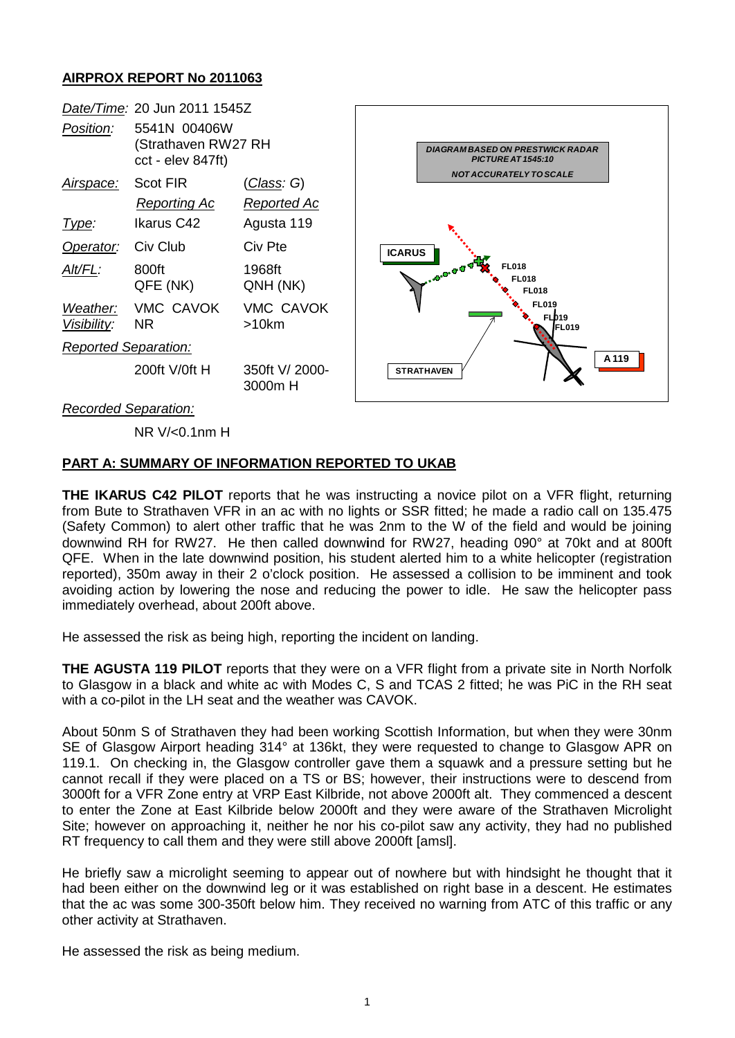## **AIRPROX REPORT No 2011063**



NR V/<0.1nm H

## **PART A: SUMMARY OF INFORMATION REPORTED TO UKAB**

**THE IKARUS C42 PILOT** reports that he was instructing a novice pilot on a VFR flight, returning from Bute to Strathaven VFR in an ac with no lights or SSR fitted; he made a radio call on 135.475 (Safety Common) to alert other traffic that he was 2nm to the W of the field and would be joining downwind RH for RW27. He then called downw**i**nd for RW27, heading 090° at 70kt and at 800ft QFE. When in the late downwind position, his student alerted him to a white helicopter (registration reported), 350m away in their 2 o'clock position. He assessed a collision to be imminent and took avoiding action by lowering the nose and reducing the power to idle. He saw the helicopter pass immediately overhead, about 200ft above.

He assessed the risk as being high, reporting the incident on landing.

**THE AGUSTA 119 PILOT** reports that they were on a VFR flight from a private site in North Norfolk to Glasgow in a black and white ac with Modes C, S and TCAS 2 fitted; he was PiC in the RH seat with a co-pilot in the LH seat and the weather was CAVOK.

About 50nm S of Strathaven they had been working Scottish Information, but when they were 30nm SE of Glasgow Airport heading 314° at 136kt, they were requested to change to Glasgow APR on 119.1. On checking in, the Glasgow controller gave them a squawk and a pressure setting but he cannot recall if they were placed on a TS or BS; however, their instructions were to descend from 3000ft for a VFR Zone entry at VRP East Kilbride, not above 2000ft alt. They commenced a descent to enter the Zone at East Kilbride below 2000ft and they were aware of the Strathaven Microlight Site; however on approaching it, neither he nor his co-pilot saw any activity, they had no published RT frequency to call them and they were still above 2000ft [amsl].

He briefly saw a microlight seeming to appear out of nowhere but with hindsight he thought that it had been either on the downwind leg or it was established on right base in a descent. He estimates that the ac was some 300-350ft below him. They received no warning from ATC of this traffic or any other activity at Strathaven.

He assessed the risk as being medium.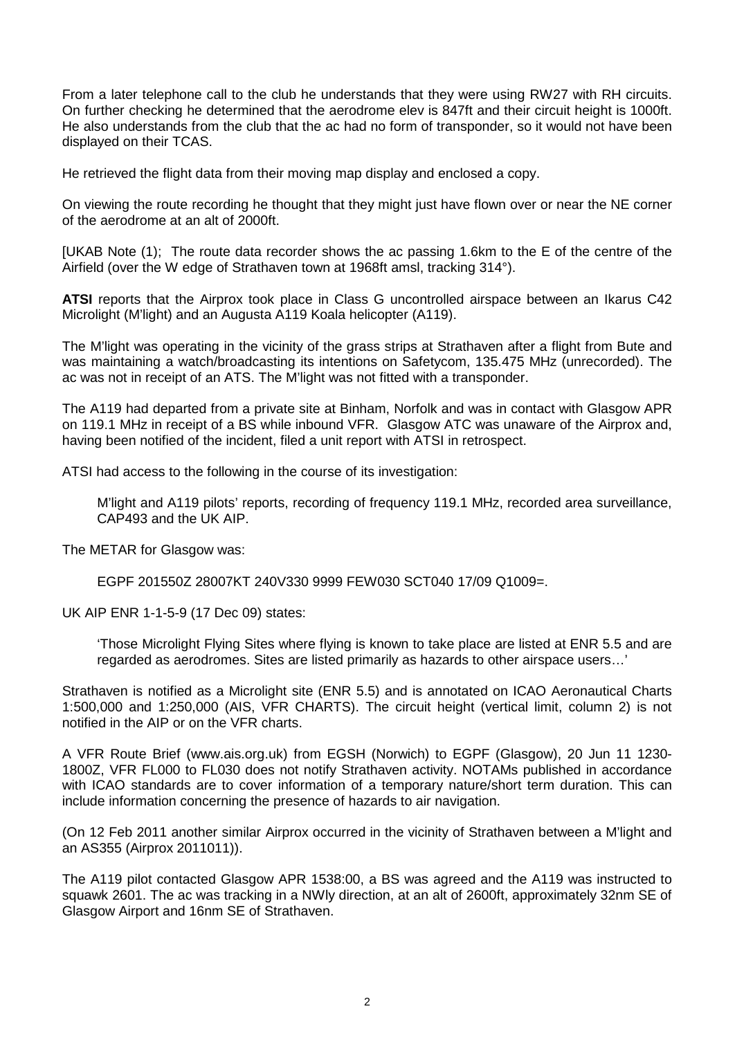From a later telephone call to the club he understands that they were using RW27 with RH circuits. On further checking he determined that the aerodrome elev is 847ft and their circuit height is 1000ft. He also understands from the club that the ac had no form of transponder, so it would not have been displayed on their TCAS.

He retrieved the flight data from their moving map display and enclosed a copy.

On viewing the route recording he thought that they might just have flown over or near the NE corner of the aerodrome at an alt of 2000ft.

[UKAB Note (1); The route data recorder shows the ac passing 1.6km to the E of the centre of the Airfield (over the W edge of Strathaven town at 1968ft amsl, tracking 314°).

**ATSI** reports that the Airprox took place in Class G uncontrolled airspace between an Ikarus C42 Microlight (M'light) and an Augusta A119 Koala helicopter (A119).

The M'light was operating in the vicinity of the grass strips at Strathaven after a flight from Bute and was maintaining a watch/broadcasting its intentions on Safetycom, 135.475 MHz (unrecorded). The ac was not in receipt of an ATS. The M'light was not fitted with a transponder.

The A119 had departed from a private site at Binham, Norfolk and was in contact with Glasgow APR on 119.1 MHz in receipt of a BS while inbound VFR. Glasgow ATC was unaware of the Airprox and, having been notified of the incident, filed a unit report with ATSI in retrospect.

ATSI had access to the following in the course of its investigation:

M'light and A119 pilots' reports, recording of frequency 119.1 MHz, recorded area surveillance, CAP493 and the UK AIP.

The METAR for Glasgow was:

EGPF 201550Z 28007KT 240V330 9999 FEW030 SCT040 17/09 Q1009=.

UK AIP ENR 1-1-5-9 (17 Dec 09) states:

'Those Microlight Flying Sites where flying is known to take place are listed at ENR 5.5 and are regarded as aerodromes. Sites are listed primarily as hazards to other airspace users…'

Strathaven is notified as a Microlight site (ENR 5.5) and is annotated on ICAO Aeronautical Charts 1:500,000 and 1:250,000 (AIS, VFR CHARTS). The circuit height (vertical limit, column 2) is not notified in the AIP or on the VFR charts.

A VFR Route Brief [\(www.ais.org.uk\)](http://www.ais.org.uk/) from EGSH (Norwich) to EGPF (Glasgow), 20 Jun 11 1230- 1800Z, VFR FL000 to FL030 does not notify Strathaven activity. NOTAMs published in accordance with ICAO standards are to cover information of a temporary nature/short term duration. This can include information concerning the presence of hazards to air navigation.

(On 12 Feb 2011 another similar Airprox occurred in the vicinity of Strathaven between a M'light and an AS355 (Airprox 2011011)).

The A119 pilot contacted Glasgow APR 1538:00, a BS was agreed and the A119 was instructed to squawk 2601. The ac was tracking in a NWly direction, at an alt of 2600ft, approximately 32nm SE of Glasgow Airport and 16nm SE of Strathaven.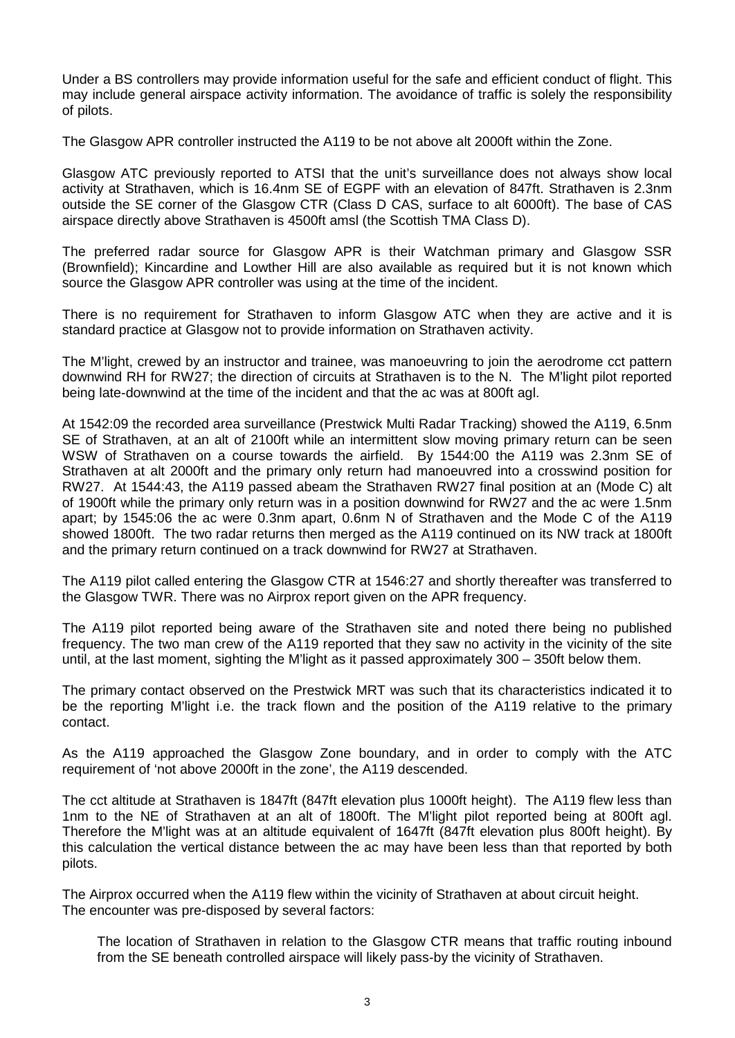Under a BS controllers may provide information useful for the safe and efficient conduct of flight. This may include general airspace activity information. The avoidance of traffic is solely the responsibility of pilots.

The Glasgow APR controller instructed the A119 to be not above alt 2000ft within the Zone.

Glasgow ATC previously reported to ATSI that the unit's surveillance does not always show local activity at Strathaven, which is 16.4nm SE of EGPF with an elevation of 847ft. Strathaven is 2.3nm outside the SE corner of the Glasgow CTR (Class D CAS, surface to alt 6000ft). The base of CAS airspace directly above Strathaven is 4500ft amsl (the Scottish TMA Class D).

The preferred radar source for Glasgow APR is their Watchman primary and Glasgow SSR (Brownfield); Kincardine and Lowther Hill are also available as required but it is not known which source the Glasgow APR controller was using at the time of the incident.

There is no requirement for Strathaven to inform Glasgow ATC when they are active and it is standard practice at Glasgow not to provide information on Strathaven activity.

The M'light, crewed by an instructor and trainee, was manoeuvring to join the aerodrome cct pattern downwind RH for RW27; the direction of circuits at Strathaven is to the N. The M'light pilot reported being late-downwind at the time of the incident and that the ac was at 800ft agl.

At 1542:09 the recorded area surveillance (Prestwick Multi Radar Tracking) showed the A119, 6.5nm SE of Strathaven, at an alt of 2100ft while an intermittent slow moving primary return can be seen WSW of Strathaven on a course towards the airfield. By 1544:00 the A119 was 2.3nm SE of Strathaven at alt 2000ft and the primary only return had manoeuvred into a crosswind position for RW27. At 1544:43, the A119 passed abeam the Strathaven RW27 final position at an (Mode C) alt of 1900ft while the primary only return was in a position downwind for RW27 and the ac were 1.5nm apart; by 1545:06 the ac were 0.3nm apart, 0.6nm N of Strathaven and the Mode C of the A119 showed 1800ft. The two radar returns then merged as the A119 continued on its NW track at 1800ft and the primary return continued on a track downwind for RW27 at Strathaven.

The A119 pilot called entering the Glasgow CTR at 1546:27 and shortly thereafter was transferred to the Glasgow TWR. There was no Airprox report given on the APR frequency.

The A119 pilot reported being aware of the Strathaven site and noted there being no published frequency. The two man crew of the A119 reported that they saw no activity in the vicinity of the site until, at the last moment, sighting the M'light as it passed approximately 300 – 350ft below them.

The primary contact observed on the Prestwick MRT was such that its characteristics indicated it to be the reporting M'light i.e. the track flown and the position of the A119 relative to the primary contact.

As the A119 approached the Glasgow Zone boundary, and in order to comply with the ATC requirement of 'not above 2000ft in the zone', the A119 descended.

The cct altitude at Strathaven is 1847ft (847ft elevation plus 1000ft height). The A119 flew less than 1nm to the NE of Strathaven at an alt of 1800ft. The M'light pilot reported being at 800ft agl. Therefore the M'light was at an altitude equivalent of 1647ft (847ft elevation plus 800ft height). By this calculation the vertical distance between the ac may have been less than that reported by both pilots.

The Airprox occurred when the A119 flew within the vicinity of Strathaven at about circuit height. The encounter was pre-disposed by several factors:

The location of Strathaven in relation to the Glasgow CTR means that traffic routing inbound from the SE beneath controlled airspace will likely pass-by the vicinity of Strathaven.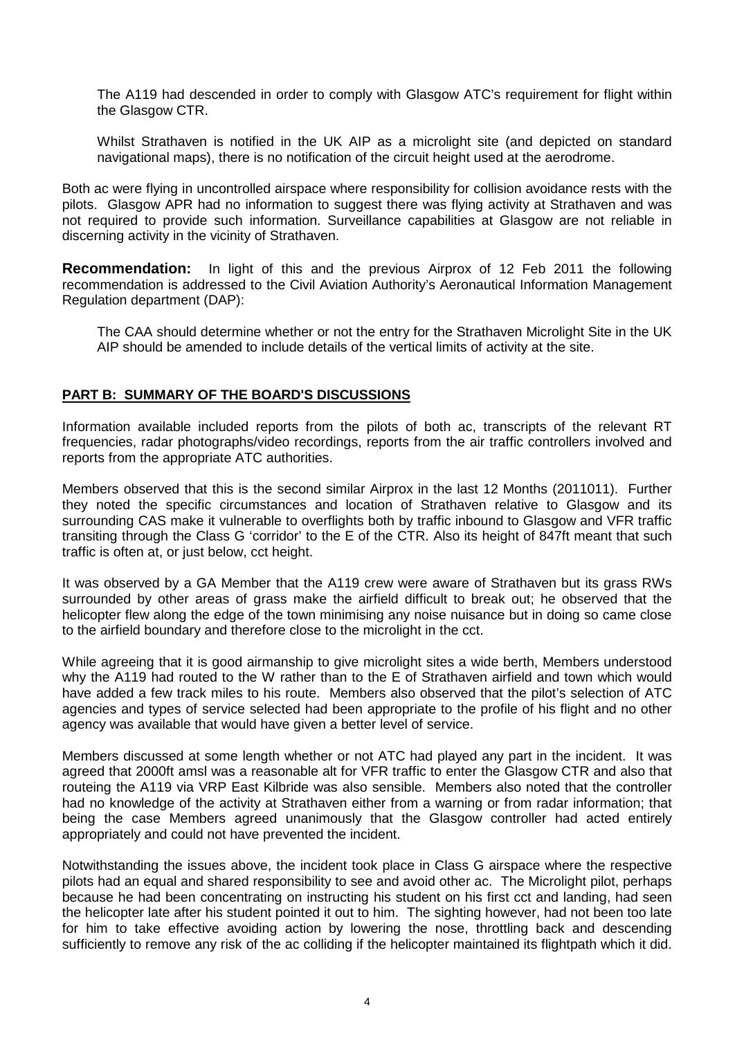The A119 had descended in order to comply with Glasgow ATC's requirement for flight within the Glasgow CTR.

Whilst Strathaven is notified in the UK AIP as a microlight site (and depicted on standard navigational maps), there is no notification of the circuit height used at the aerodrome.

Both ac were flying in uncontrolled airspace where responsibility for collision avoidance rests with the pilots. Glasgow APR had no information to suggest there was flying activity at Strathaven and was not required to provide such information. Surveillance capabilities at Glasgow are not reliable in discerning activity in the vicinity of Strathaven.

**Recommendation:** In light of this and the previous Airprox of 12 Feb 2011 the following recommendation is addressed to the Civil Aviation Authority's Aeronautical Information Management Regulation department (DAP):

The CAA should determine whether or not the entry for the Strathaven Microlight Site in the UK AIP should be amended to include details of the vertical limits of activity at the site.

## **PART B: SUMMARY OF THE BOARD'S DISCUSSIONS**

Information available included reports from the pilots of both ac, transcripts of the relevant RT frequencies, radar photographs/video recordings, reports from the air traffic controllers involved and reports from the appropriate ATC authorities.

Members observed that this is the second similar Airprox in the last 12 Months (2011011). Further they noted the specific circumstances and location of Strathaven relative to Glasgow and its surrounding CAS make it vulnerable to overflights both by traffic inbound to Glasgow and VFR traffic transiting through the Class G 'corridor' to the E of the CTR. Also its height of 847ft meant that such traffic is often at, or just below, cct height.

It was observed by a GA Member that the A119 crew were aware of Strathaven but its grass RWs surrounded by other areas of grass make the airfield difficult to break out; he observed that the helicopter flew along the edge of the town minimising any noise nuisance but in doing so came close to the airfield boundary and therefore close to the microlight in the cct.

While agreeing that it is good airmanship to give microlight sites a wide berth, Members understood why the A119 had routed to the W rather than to the E of Strathaven airfield and town which would have added a few track miles to his route. Members also observed that the pilot's selection of ATC agencies and types of service selected had been appropriate to the profile of his flight and no other agency was available that would have given a better level of service.

Members discussed at some length whether or not ATC had played any part in the incident. It was agreed that 2000ft amsl was a reasonable alt for VFR traffic to enter the Glasgow CTR and also that routeing the A119 via VRP East Kilbride was also sensible. Members also noted that the controller had no knowledge of the activity at Strathaven either from a warning or from radar information; that being the case Members agreed unanimously that the Glasgow controller had acted entirely appropriately and could not have prevented the incident.

Notwithstanding the issues above, the incident took place in Class G airspace where the respective pilots had an equal and shared responsibility to see and avoid other ac. The Microlight pilot, perhaps because he had been concentrating on instructing his student on his first cct and landing, had seen the helicopter late after his student pointed it out to him. The sighting however, had not been too late for him to take effective avoiding action by lowering the nose, throttling back and descending sufficiently to remove any risk of the ac colliding if the helicopter maintained its flightpath which it did.